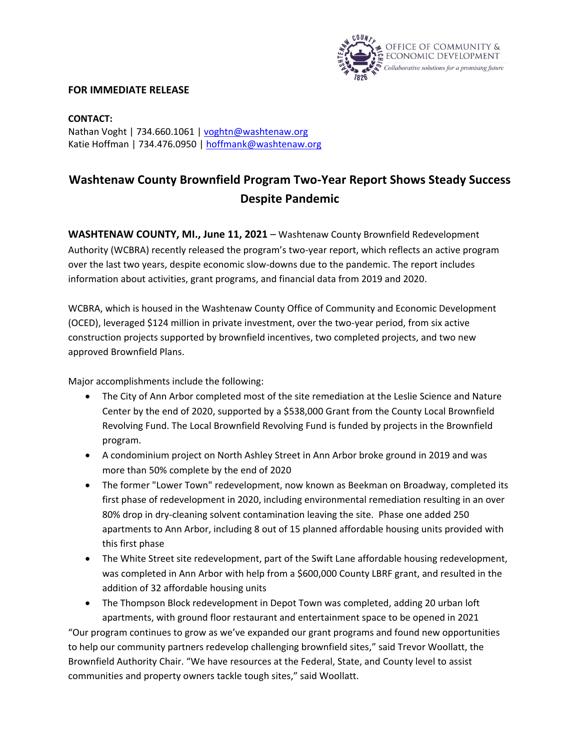

## **FOR IMMEDIATE RELEASE**

**CONTACT:** Nathan Voght | 734.660.1061 | [voghtn@washtenaw.org](mailto:voghtn@washtenaw.org) Katie Hoffman | 734.476.0950 [| hoffmank@washtenaw.org](mailto:hoffmank@washtenaw.org)

## **Washtenaw County Brownfield Program Two-Year Report Shows Steady Success Despite Pandemic**

**WASHTENAW COUNTY, MI., June 11, 2021** – Washtenaw County Brownfield Redevelopment Authority (WCBRA) recently released the program's two-year report, which reflects an active program over the last two years, despite economic slow-downs due to the pandemic. The report includes information about activities, grant programs, and financial data from 2019 and 2020.

WCBRA, which is housed in the Washtenaw County Office of Community and Economic Development (OCED), leveraged \$124 million in private investment, over the two-year period, from six active construction projects supported by brownfield incentives, two completed projects, and two new approved Brownfield Plans.

Major accomplishments include the following:

- The City of Ann Arbor completed most of the site remediation at the Leslie Science and Nature Center by the end of 2020, supported by a \$538,000 Grant from the County Local Brownfield Revolving Fund. The Local Brownfield Revolving Fund is funded by projects in the Brownfield program.
- A condominium project on North Ashley Street in Ann Arbor broke ground in 2019 and was more than 50% complete by the end of 2020
- The former "Lower Town" redevelopment, now known as Beekman on Broadway, completed its first phase of redevelopment in 2020, including environmental remediation resulting in an over 80% drop in dry-cleaning solvent contamination leaving the site. Phase one added 250 apartments to Ann Arbor, including 8 out of 15 planned affordable housing units provided with this first phase
- The White Street site redevelopment, part of the Swift Lane affordable housing redevelopment, was completed in Ann Arbor with help from a \$600,000 County LBRF grant, and resulted in the addition of 32 affordable housing units
- The Thompson Block redevelopment in Depot Town was completed, adding 20 urban loft apartments, with ground floor restaurant and entertainment space to be opened in 2021

"Our program continues to grow as we've expanded our grant programs and found new opportunities to help our community partners redevelop challenging brownfield sites," said Trevor Woollatt, the Brownfield Authority Chair. "We have resources at the Federal, State, and County level to assist communities and property owners tackle tough sites," said Woollatt.